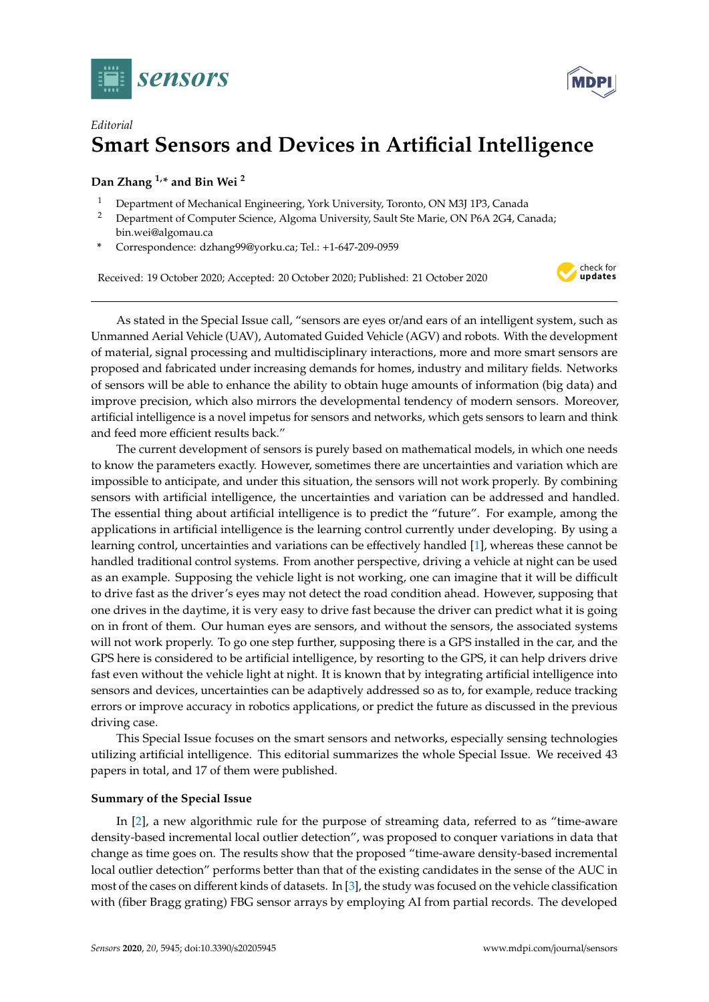



## *Editorial* **Smart Sensors and Devices in Artificial Intelligence**

## **Dan Zhang 1,\* and Bin Wei <sup>2</sup>**

- <sup>1</sup> Department of Mechanical Engineering, York University, Toronto, ON M3J 1P3, Canada
- <sup>2</sup> Department of Computer Science, Algoma University, Sault Ste Marie, ON P6A 2G4, Canada; bin.wei@algomau.ca
- **\*** Correspondence: dzhang99@yorku.ca; Tel.: +1-647-209-0959

Received: 19 October 2020; Accepted: 20 October 2020; Published: 21 October 2020



As stated in the Special Issue call, "sensors are eyes or/and ears of an intelligent system, such as Unmanned Aerial Vehicle (UAV), Automated Guided Vehicle (AGV) and robots. With the development of material, signal processing and multidisciplinary interactions, more and more smart sensors are proposed and fabricated under increasing demands for homes, industry and military fields. Networks of sensors will be able to enhance the ability to obtain huge amounts of information (big data) and improve precision, which also mirrors the developmental tendency of modern sensors. Moreover, artificial intelligence is a novel impetus for sensors and networks, which gets sensors to learn and think and feed more efficient results back."

The current development of sensors is purely based on mathematical models, in which one needs to know the parameters exactly. However, sometimes there are uncertainties and variation which are impossible to anticipate, and under this situation, the sensors will not work properly. By combining sensors with artificial intelligence, the uncertainties and variation can be addressed and handled. The essential thing about artificial intelligence is to predict the "future". For example, among the applications in artificial intelligence is the learning control currently under developing. By using a learning control, uncertainties and variations can be effectively handled [\[1\]](#page-2-0), whereas these cannot be handled traditional control systems. From another perspective, driving a vehicle at night can be used as an example. Supposing the vehicle light is not working, one can imagine that it will be difficult to drive fast as the driver's eyes may not detect the road condition ahead. However, supposing that one drives in the daytime, it is very easy to drive fast because the driver can predict what it is going on in front of them. Our human eyes are sensors, and without the sensors, the associated systems will not work properly. To go one step further, supposing there is a GPS installed in the car, and the GPS here is considered to be artificial intelligence, by resorting to the GPS, it can help drivers drive fast even without the vehicle light at night. It is known that by integrating artificial intelligence into sensors and devices, uncertainties can be adaptively addressed so as to, for example, reduce tracking errors or improve accuracy in robotics applications, or predict the future as discussed in the previous driving case.

This Special Issue focuses on the smart sensors and networks, especially sensing technologies utilizing artificial intelligence. This editorial summarizes the whole Special Issue. We received 43 papers in total, and 17 of them were published.

## **Summary of the Special Issue**

In [\[2\]](#page-2-1), a new algorithmic rule for the purpose of streaming data, referred to as "time-aware density-based incremental local outlier detection", was proposed to conquer variations in data that change as time goes on. The results show that the proposed "time-aware density-based incremental local outlier detection" performs better than that of the existing candidates in the sense of the AUC in most of the cases on different kinds of datasets. In [\[3\]](#page-2-2), the study was focused on the vehicle classification with (fiber Bragg grating) FBG sensor arrays by employing AI from partial records. The developed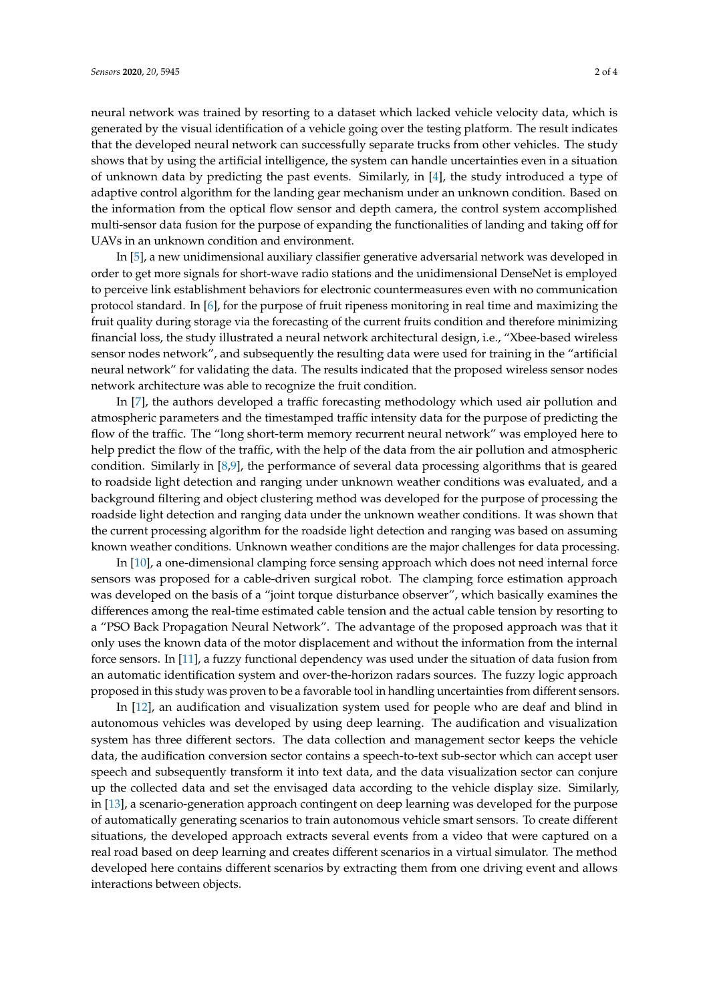neural network was trained by resorting to a dataset which lacked vehicle velocity data, which is generated by the visual identification of a vehicle going over the testing platform. The result indicates that the developed neural network can successfully separate trucks from other vehicles. The study shows that by using the artificial intelligence, the system can handle uncertainties even in a situation of unknown data by predicting the past events. Similarly, in [\[4\]](#page-2-3), the study introduced a type of adaptive control algorithm for the landing gear mechanism under an unknown condition. Based on the information from the optical flow sensor and depth camera, the control system accomplished multi-sensor data fusion for the purpose of expanding the functionalities of landing and taking off for UAVs in an unknown condition and environment.

In [\[5\]](#page-2-4), a new unidimensional auxiliary classifier generative adversarial network was developed in order to get more signals for short-wave radio stations and the unidimensional DenseNet is employed to perceive link establishment behaviors for electronic countermeasures even with no communication protocol standard. In [\[6\]](#page-3-0), for the purpose of fruit ripeness monitoring in real time and maximizing the fruit quality during storage via the forecasting of the current fruits condition and therefore minimizing financial loss, the study illustrated a neural network architectural design, i.e., "Xbee-based wireless sensor nodes network", and subsequently the resulting data were used for training in the "artificial neural network" for validating the data. The results indicated that the proposed wireless sensor nodes network architecture was able to recognize the fruit condition.

In [\[7\]](#page-3-1), the authors developed a traffic forecasting methodology which used air pollution and atmospheric parameters and the timestamped traffic intensity data for the purpose of predicting the flow of the traffic. The "long short-term memory recurrent neural network" was employed here to help predict the flow of the traffic, with the help of the data from the air pollution and atmospheric condition. Similarly in [\[8,](#page-3-2)[9\]](#page-3-3), the performance of several data processing algorithms that is geared to roadside light detection and ranging under unknown weather conditions was evaluated, and a background filtering and object clustering method was developed for the purpose of processing the roadside light detection and ranging data under the unknown weather conditions. It was shown that the current processing algorithm for the roadside light detection and ranging was based on assuming known weather conditions. Unknown weather conditions are the major challenges for data processing.

In [\[10\]](#page-3-4), a one-dimensional clamping force sensing approach which does not need internal force sensors was proposed for a cable-driven surgical robot. The clamping force estimation approach was developed on the basis of a "joint torque disturbance observer", which basically examines the differences among the real-time estimated cable tension and the actual cable tension by resorting to a "PSO Back Propagation Neural Network". The advantage of the proposed approach was that it only uses the known data of the motor displacement and without the information from the internal force sensors. In [\[11\]](#page-3-5), a fuzzy functional dependency was used under the situation of data fusion from an automatic identification system and over-the-horizon radars sources. The fuzzy logic approach proposed in this study was proven to be a favorable tool in handling uncertainties from different sensors.

In [\[12\]](#page-3-6), an audification and visualization system used for people who are deaf and blind in autonomous vehicles was developed by using deep learning. The audification and visualization system has three different sectors. The data collection and management sector keeps the vehicle data, the audification conversion sector contains a speech-to-text sub-sector which can accept user speech and subsequently transform it into text data, and the data visualization sector can conjure up the collected data and set the envisaged data according to the vehicle display size. Similarly, in [\[13\]](#page-3-7), a scenario-generation approach contingent on deep learning was developed for the purpose of automatically generating scenarios to train autonomous vehicle smart sensors. To create different situations, the developed approach extracts several events from a video that were captured on a real road based on deep learning and creates different scenarios in a virtual simulator. The method developed here contains different scenarios by extracting them from one driving event and allows interactions between objects.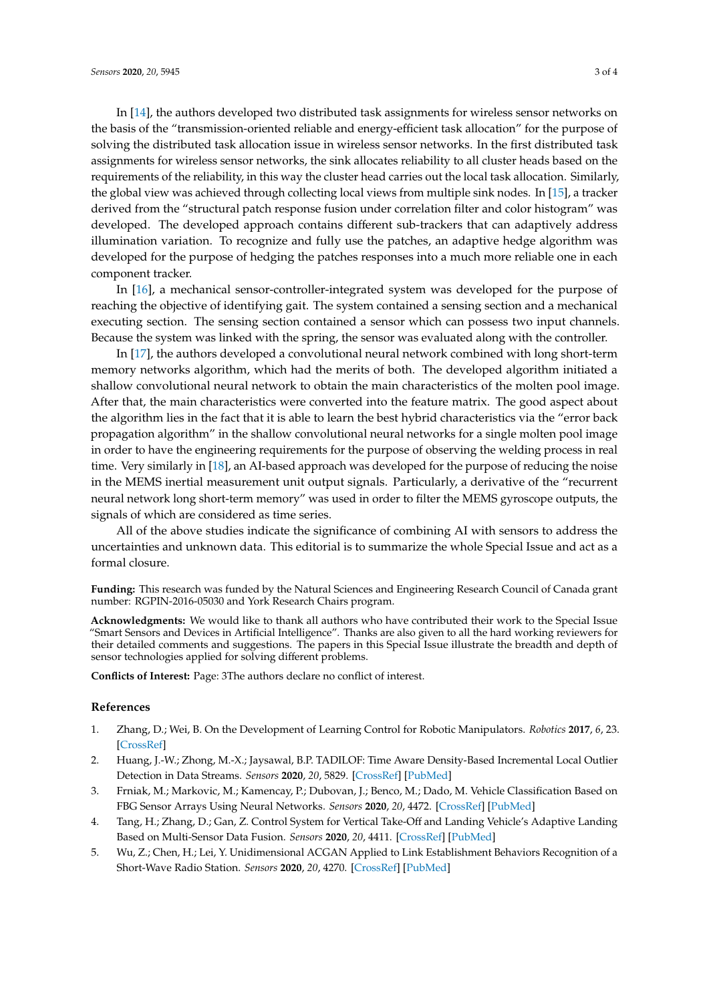In [\[14\]](#page-3-8), the authors developed two distributed task assignments for wireless sensor networks on the basis of the "transmission-oriented reliable and energy-efficient task allocation" for the purpose of solving the distributed task allocation issue in wireless sensor networks. In the first distributed task assignments for wireless sensor networks, the sink allocates reliability to all cluster heads based on the requirements of the reliability, in this way the cluster head carries out the local task allocation. Similarly, the global view was achieved through collecting local views from multiple sink nodes. In [\[15\]](#page-3-9), a tracker derived from the "structural patch response fusion under correlation filter and color histogram" was developed. The developed approach contains different sub-trackers that can adaptively address illumination variation. To recognize and fully use the patches, an adaptive hedge algorithm was developed for the purpose of hedging the patches responses into a much more reliable one in each component tracker.

In [\[16\]](#page-3-10), a mechanical sensor-controller-integrated system was developed for the purpose of reaching the objective of identifying gait. The system contained a sensing section and a mechanical executing section. The sensing section contained a sensor which can possess two input channels. Because the system was linked with the spring, the sensor was evaluated along with the controller.

In [\[17\]](#page-3-11), the authors developed a convolutional neural network combined with long short-term memory networks algorithm, which had the merits of both. The developed algorithm initiated a shallow convolutional neural network to obtain the main characteristics of the molten pool image. After that, the main characteristics were converted into the feature matrix. The good aspect about the algorithm lies in the fact that it is able to learn the best hybrid characteristics via the "error back propagation algorithm" in the shallow convolutional neural networks for a single molten pool image in order to have the engineering requirements for the purpose of observing the welding process in real time. Very similarly in [\[18\]](#page-3-12), an AI-based approach was developed for the purpose of reducing the noise in the MEMS inertial measurement unit output signals. Particularly, a derivative of the "recurrent neural network long short-term memory" was used in order to filter the MEMS gyroscope outputs, the signals of which are considered as time series.

All of the above studies indicate the significance of combining AI with sensors to address the uncertainties and unknown data. This editorial is to summarize the whole Special Issue and act as a formal closure.

**Funding:** This research was funded by the Natural Sciences and Engineering Research Council of Canada grant number: RGPIN-2016-05030 and York Research Chairs program.

**Acknowledgments:** We would like to thank all authors who have contributed their work to the Special Issue "Smart Sensors and Devices in Artificial Intelligence". Thanks are also given to all the hard working reviewers for their detailed comments and suggestions. The papers in this Special Issue illustrate the breadth and depth of sensor technologies applied for solving different problems.

**Conflicts of Interest:** Page: 3The authors declare no conflict of interest.

## **References**

- <span id="page-2-0"></span>1. Zhang, D.; Wei, B. On the Development of Learning Control for Robotic Manipulators. *Robotics* **2017**, *6*, 23. [\[CrossRef\]](http://dx.doi.org/10.3390/robotics6040023)
- <span id="page-2-1"></span>2. Huang, J.-W.; Zhong, M.-X.; Jaysawal, B.P. TADILOF: Time Aware Density-Based Incremental Local Outlier Detection in Data Streams. *Sensors* **2020**, *20*, 5829. [\[CrossRef\]](http://dx.doi.org/10.3390/s20205829) [\[PubMed\]](http://www.ncbi.nlm.nih.gov/pubmed/33076325)
- <span id="page-2-2"></span>3. Frniak, M.; Markovic, M.; Kamencay, P.; Dubovan, J.; Benco, M.; Dado, M. Vehicle Classification Based on FBG Sensor Arrays Using Neural Networks. *Sensors* **2020**, *20*, 4472. [\[CrossRef\]](http://dx.doi.org/10.3390/s20164472) [\[PubMed\]](http://www.ncbi.nlm.nih.gov/pubmed/32785099)
- <span id="page-2-3"></span>4. Tang, H.; Zhang, D.; Gan, Z. Control System for Vertical Take-Off and Landing Vehicle's Adaptive Landing Based on Multi-Sensor Data Fusion. *Sensors* **2020**, *20*, 4411. [\[CrossRef\]](http://dx.doi.org/10.3390/s20164411) [\[PubMed\]](http://www.ncbi.nlm.nih.gov/pubmed/32784693)
- <span id="page-2-4"></span>5. Wu, Z.; Chen, H.; Lei, Y. Unidimensional ACGAN Applied to Link Establishment Behaviors Recognition of a Short-Wave Radio Station. *Sensors* **2020**, *20*, 4270. [\[CrossRef\]](http://dx.doi.org/10.3390/s20154270) [\[PubMed\]](http://www.ncbi.nlm.nih.gov/pubmed/32751817)